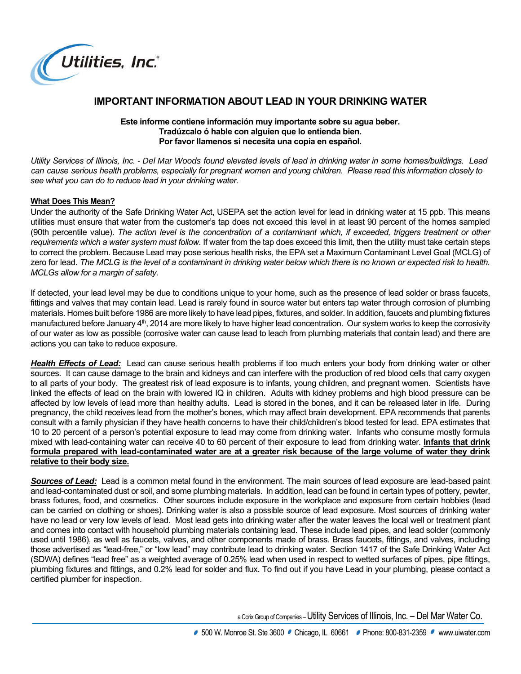

# **IMPORTANT INFORMATION ABOUT LEAD IN YOUR DRINKING WATER**

#### **Este informe contiene información muy importante sobre su agua beber. Tradúzcalo ó hable con alguien que lo entienda bien. Por favor llamenos si necesita una copia en español.**

*Utility Services of Illinois, Inc. - Del Mar Woods found elevated levels of lead in drinking water in some homes/buildings. Lead can cause serious health problems, especially for pregnant women and young children. Please read this information closely to see what you can do to reduce lead in your drinking water.*

## **What Does This Mean?**

Under the authority of the Safe Drinking Water Act, USEPA set the action level for lead in drinking water at 15 ppb. This means utilities must ensure that water from the customer's tap does not exceed this level in at least 90 percent of the homes sampled (90th percentile value). *The action level is the concentration of a contaminant which, if exceeded, triggers treatment or other requirements which a water system must follow*. If water from the tap does exceed this limit, then the utility must take certain steps to correct the problem. Because Lead may pose serious health risks, the EPA set a Maximum Contaminant Level Goal (MCLG) of zero for lead. *The MCLG is the level of a contaminant in drinking water below which there is no known or expected risk to health. MCLGs allow for a margin of safety.*

If detected, your lead level may be due to conditions unique to your home, such as the presence of lead solder or brass faucets, fittings and valves that may contain lead. Lead is rarely found in source water but enters tap water through corrosion of plumbing materials. Homes built before 1986 are more likely to have lead pipes, fixtures, and solder. In addition, faucets and plumbing fixtures manufactured before January 4<sup>th</sup>, 2014 are more likely to have higher lead concentration. Our system works to keep the corrosivity of our water as low as possible (corrosive water can cause lead to leach from plumbing materials that contain lead) and there are actions you can take to reduce exposure.

 *Health Effects of Lead:* Lead can cause serious health problems if too much enters your body from drinking water or other sources. It can cause damage to the brain and kidneys and can interfere with the production of red blood cells that carry oxygen to all parts of your body. The greatest risk of lead exposure is to infants, young children, and pregnant women. Scientists have linked the effects of lead on the brain with lowered IQ in children. Adults with kidney problems and high blood pressure can be affected by low levels of lead more than healthy adults. Lead is stored in the bones, and it can be released later in life. During pregnancy, the child receives lead from the mother's bones, which may affect brain development. EPA recommends that parents consult with a family physician if they have health concerns to have their child/children's blood tested for lead. EPA estimates that 10 to 20 percent of a person's potential exposure to lead may come from drinking water. Infants who consume mostly formula mixed with lead-containing water can receive 40 to 60 percent of their exposure to lead from drinking water. **Infants that drink formula prepared with lead-contaminated water are at a greater risk because of the large volume of water they drink relative to their body size.**

 *Sources of Lead:* Lead is a common metal found in the environment. The main sources of lead exposure are lead-based paint and lead-contaminated dust or soil, and some plumbing materials. In addition, lead can be found in certain types of pottery, pewter, brass fixtures, food, and cosmetics. Other sources include exposure in the workplace and exposure from certain hobbies (lead can be carried on clothing or shoes). Drinking water is also a possible source of lead exposure. Most sources of drinking water have no lead or very low levels of lead. Most lead gets into drinking water after the water leaves the local well or treatment plant and comes into contact with household plumbing materials containing lead. These include lead pipes, and lead solder (commonly used until 1986), as well as faucets, valves, and other components made of brass. Brass faucets, fittings, and valves, including those advertised as "lead-free," or "low lead" may contribute lead to drinking water. Section 1417 of the Safe Drinking Water Act (SDWA) defines "lead free" as a weighted average of 0.25% lead when used in respect to wetted surfaces of pipes, pipe fittings, plumbing fixtures and fittings, and 0.2% lead for solder and flux. To find out if you have Lead in your plumbing, please contact a certified plumber for inspection.

aCorix Group of Companies –Utility Services of Illinois, Inc. – Del Mar Water Co.